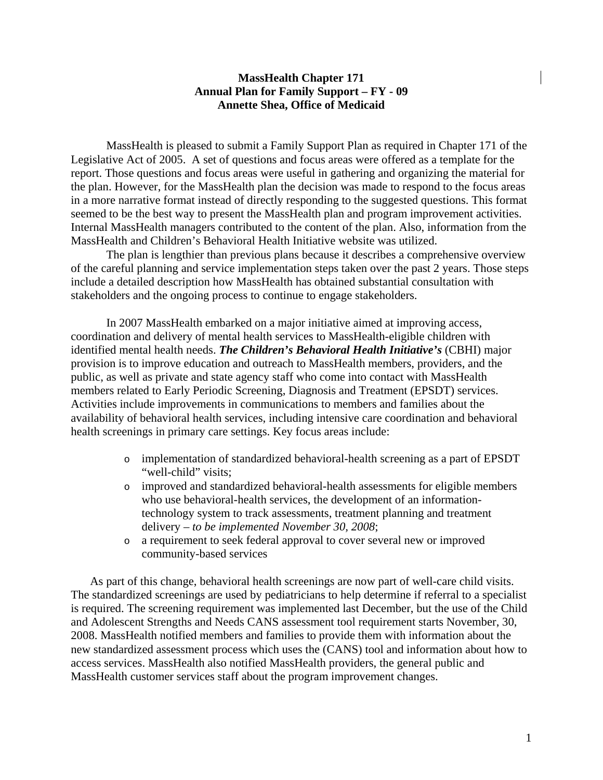## **MassHealth Chapter 171 Annual Plan for Family Support – FY - 09 Annette Shea, Office of Medicaid**

MassHealth is pleased to submit a Family Support Plan as required in Chapter 171 of the Legislative Act of 2005. A set of questions and focus areas were offered as a template for the report. Those questions and focus areas were useful in gathering and organizing the material for the plan. However, for the MassHealth plan the decision was made to respond to the focus areas in a more narrative format instead of directly responding to the suggested questions. This format seemed to be the best way to present the MassHealth plan and program improvement activities. Internal MassHealth managers contributed to the content of the plan. Also, information from the MassHealth and Children's Behavioral Health Initiative website was utilized.

The plan is lengthier than previous plans because it describes a comprehensive overview of the careful planning and service implementation steps taken over the past 2 years. Those steps include a detailed description how MassHealth has obtained substantial consultation with stakeholders and the ongoing process to continue to engage stakeholders.

In 2007 MassHealth embarked on a major initiative aimed at improving access, coordination and delivery of mental health services to MassHealth-eligible children with identified mental health needs. *The Children's Behavioral Health Initiative's* (CBHI) major provision is to improve education and outreach to MassHealth members, providers, and the public, as well as private and state agency staff who come into contact with MassHealth members related to Early Periodic Screening, Diagnosis and Treatment (EPSDT) services. Activities include improvements in communications to members and families about the availability of behavioral health services, including intensive care coordination and behavioral health screenings in primary care settings. Key focus areas include:

- o implementation of standardized behavioral-health screening as a part of EPSDT "well-child" visits:
- o improved and standardized behavioral-health assessments for eligible members who use behavioral-health services, the development of an informationtechnology system to track assessments, treatment planning and treatment delivery – *to be implemented November 30, 2008*;
- o a requirement to seek federal approval to cover several new or improved community-based services

As part of this change, behavioral health screenings are now part of well-care child visits. The standardized screenings are used by pediatricians to help determine if referral to a specialist is required. The screening requirement was implemented last December, but the use of the Child and Adolescent Strengths and Needs CANS assessment tool requirement starts November, 30, 2008. MassHealth notified members and families to provide them with information about the new standardized assessment process which uses the (CANS) tool and information about how to access services. MassHealth also notified MassHealth providers, the general public and MassHealth customer services staff about the program improvement changes.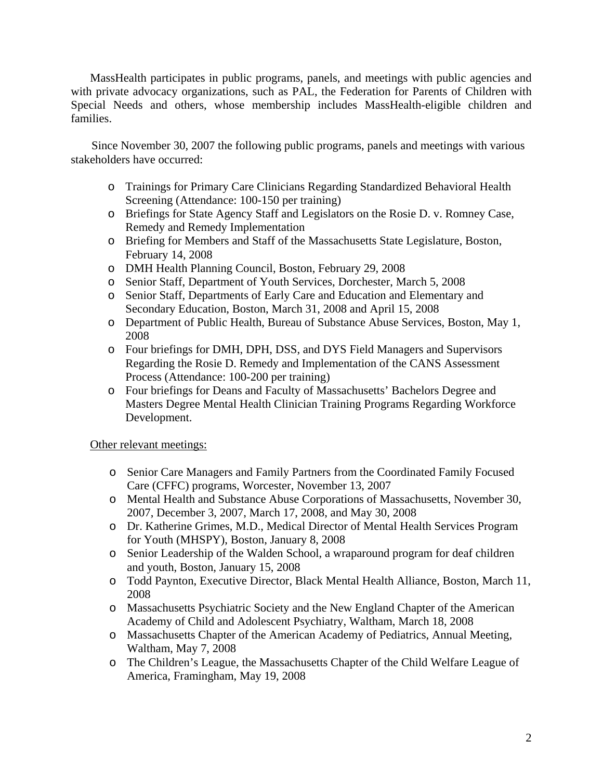MassHealth participates in public programs, panels, and meetings with public agencies and with private advocacy organizations, such as PAL, the Federation for Parents of Children with Special Needs and others, whose membership includes MassHealth-eligible children and families.

 Since November 30, 2007 the following public programs, panels and meetings with various stakeholders have occurred:

- o Trainings for Primary Care Clinicians Regarding Standardized Behavioral Health Screening (Attendance: 100-150 per training)
- o Briefings for State Agency Staff and Legislators on the Rosie D. v. Romney Case, Remedy and Remedy Implementation
- o Briefing for Members and Staff of the Massachusetts State Legislature, Boston, February 14, 2008
- o DMH Health Planning Council, Boston, February 29, 2008
- o Senior Staff, Department of Youth Services, Dorchester, March 5, 2008
- o Senior Staff, Departments of Early Care and Education and Elementary and Secondary Education, Boston, March 31, 2008 and April 15, 2008
- o Department of Public Health, Bureau of Substance Abuse Services, Boston, May 1, 2008
- o Four briefings for DMH, DPH, DSS, and DYS Field Managers and Supervisors Regarding the Rosie D. Remedy and Implementation of the CANS Assessment Process (Attendance: 100-200 per training)
- o Four briefings for Deans and Faculty of Massachusetts' Bachelors Degree and Masters Degree Mental Health Clinician Training Programs Regarding Workforce Development.

# Other relevant meetings:

- o Senior Care Managers and Family Partners from the Coordinated Family Focused Care (CFFC) programs, Worcester, November 13, 2007
- o Mental Health and Substance Abuse Corporations of Massachusetts, November 30, 2007, December 3, 2007, March 17, 2008, and May 30, 2008
- o Dr. Katherine Grimes, M.D., Medical Director of Mental Health Services Program for Youth (MHSPY), Boston, January 8, 2008
- o Senior Leadership of the Walden School, a wraparound program for deaf children and youth, Boston, January 15, 2008
- o Todd Paynton, Executive Director, Black Mental Health Alliance, Boston, March 11, 2008
- o Massachusetts Psychiatric Society and the New England Chapter of the American Academy of Child and Adolescent Psychiatry, Waltham, March 18, 2008
- o Massachusetts Chapter of the American Academy of Pediatrics, Annual Meeting, Waltham, May 7, 2008
- o The Children's League, the Massachusetts Chapter of the Child Welfare League of America, Framingham, May 19, 2008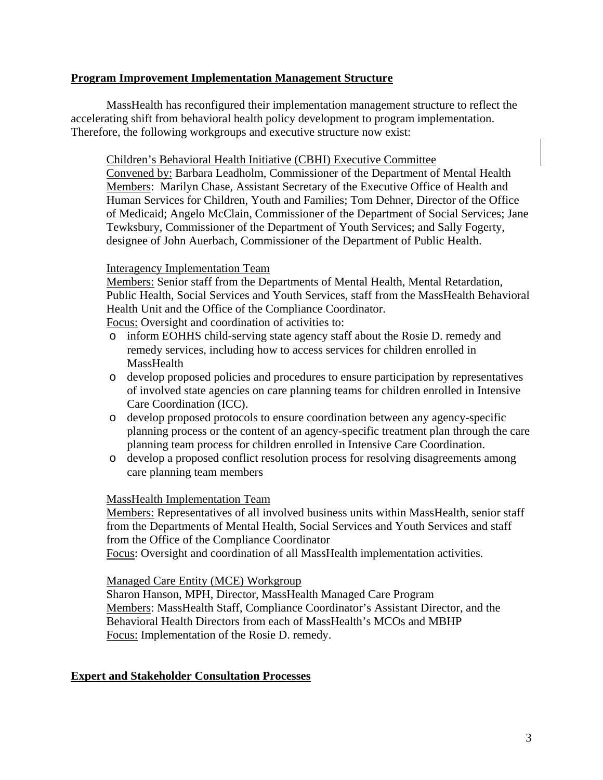# **Program Improvement Implementation Management Structure**

MassHealth has reconfigured their implementation management structure to reflect the accelerating shift from behavioral health policy development to program implementation. Therefore, the following workgroups and executive structure now exist:

## Children's Behavioral Health Initiative (CBHI) Executive Committee

Convened by: Barbara Leadholm, Commissioner of the Department of Mental Health Members: Marilyn Chase, Assistant Secretary of the Executive Office of Health and Human Services for Children, Youth and Families; Tom Dehner, Director of the Office of Medicaid; Angelo McClain, Commissioner of the Department of Social Services; Jane Tewksbury, Commissioner of the Department of Youth Services; and Sally Fogerty, designee of John Auerbach, Commissioner of the Department of Public Health.

## Interagency Implementation Team

Members: Senior staff from the Departments of Mental Health, Mental Retardation, Public Health, Social Services and Youth Services, staff from the MassHealth Behavioral Health Unit and the Office of the Compliance Coordinator.

Focus: Oversight and coordination of activities to:

- o inform EOHHS child-serving state agency staff about the Rosie D. remedy and remedy services, including how to access services for children enrolled in MassHealth
- o develop proposed policies and procedures to ensure participation by representatives of involved state agencies on care planning teams for children enrolled in Intensive Care Coordination (ICC).
- o develop proposed protocols to ensure coordination between any agency-specific planning process or the content of an agency-specific treatment plan through the care planning team process for children enrolled in Intensive Care Coordination.
- o develop a proposed conflict resolution process for resolving disagreements among care planning team members

## MassHealth Implementation Team

Members: Representatives of all involved business units within MassHealth, senior staff from the Departments of Mental Health, Social Services and Youth Services and staff from the Office of the Compliance Coordinator

Focus: Oversight and coordination of all MassHealth implementation activities.

Managed Care Entity (MCE) Workgroup

Sharon Hanson, MPH, Director, MassHealth Managed Care Program Members: MassHealth Staff, Compliance Coordinator's Assistant Director, and the Behavioral Health Directors from each of MassHealth's MCOs and MBHP Focus: Implementation of the Rosie D. remedy.

## **Expert and Stakeholder Consultation Processes**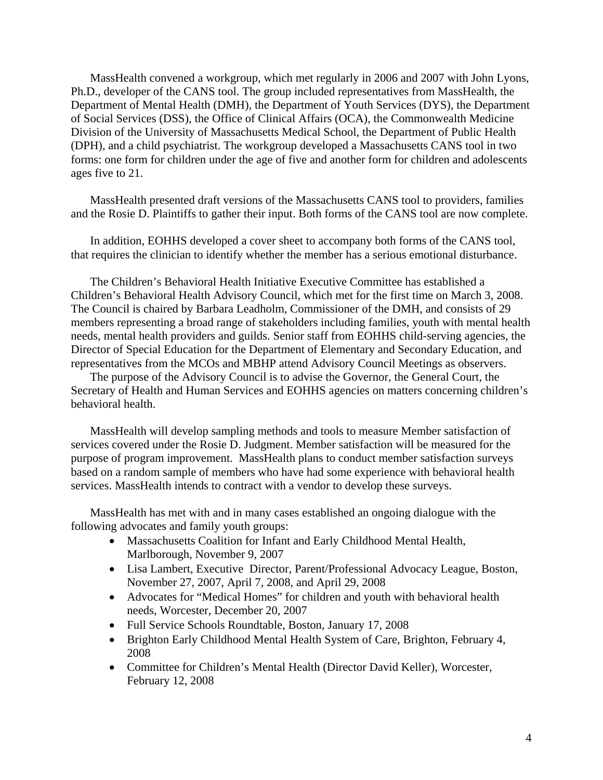MassHealth convened a workgroup, which met regularly in 2006 and 2007 with John Lyons, Ph.D., developer of the CANS tool. The group included representatives from MassHealth, the Department of Mental Health (DMH), the Department of Youth Services (DYS), the Department of Social Services (DSS), the Office of Clinical Affairs (OCA), the Commonwealth Medicine Division of the University of Massachusetts Medical School, the Department of Public Health (DPH), and a child psychiatrist. The workgroup developed a Massachusetts CANS tool in two forms: one form for children under the age of five and another form for children and adolescents ages five to 21.

MassHealth presented draft versions of the Massachusetts CANS tool to providers, families and the Rosie D. Plaintiffs to gather their input. Both forms of the CANS tool are now complete.

In addition, EOHHS developed a cover sheet to accompany both forms of the CANS tool, that requires the clinician to identify whether the member has a serious emotional disturbance.

The Children's Behavioral Health Initiative Executive Committee has established a Children's Behavioral Health Advisory Council, which met for the first time on March 3, 2008. The Council is chaired by Barbara Leadholm, Commissioner of the DMH, and consists of 29 members representing a broad range of stakeholders including families, youth with mental health needs, mental health providers and guilds. Senior staff from EOHHS child-serving agencies, the Director of Special Education for the Department of Elementary and Secondary Education, and representatives from the MCOs and MBHP attend Advisory Council Meetings as observers.

The purpose of the Advisory Council is to advise the Governor, the General Court, the Secretary of Health and Human Services and EOHHS agencies on matters concerning children's behavioral health.

MassHealth will develop sampling methods and tools to measure Member satisfaction of services covered under the Rosie D. Judgment. Member satisfaction will be measured for the purpose of program improvement. MassHealth plans to conduct member satisfaction surveys based on a random sample of members who have had some experience with behavioral health services. MassHealth intends to contract with a vendor to develop these surveys.

 MassHealth has met with and in many cases established an ongoing dialogue with the following advocates and family youth groups:

- Massachusetts Coalition for Infant and Early Childhood Mental Health, Marlborough, November 9, 2007
- Lisa Lambert, Executive Director, Parent/Professional Advocacy League, Boston, November 27, 2007, April 7, 2008, and April 29, 2008
- Advocates for "Medical Homes" for children and youth with behavioral health needs, Worcester, December 20, 2007
- Full Service Schools Roundtable, Boston, January 17, 2008
- Brighton Early Childhood Mental Health System of Care, Brighton, February 4, 2008
- Committee for Children's Mental Health (Director David Keller), Worcester, February 12, 2008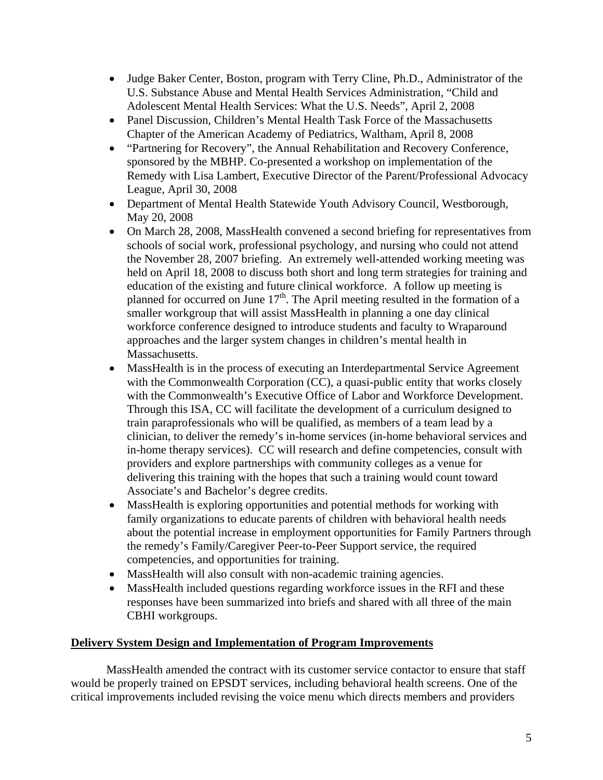- Judge Baker Center, Boston, program with Terry Cline, Ph.D., Administrator of the U.S. Substance Abuse and Mental Health Services Administration, "Child and Adolescent Mental Health Services: What the U.S. Needs", April 2, 2008
- Panel Discussion, Children's Mental Health Task Force of the Massachusetts Chapter of the American Academy of Pediatrics, Waltham, April 8, 2008
- "Partnering for Recovery", the Annual Rehabilitation and Recovery Conference, sponsored by the MBHP. Co-presented a workshop on implementation of the Remedy with Lisa Lambert, Executive Director of the Parent/Professional Advocacy League, April 30, 2008
- Department of Mental Health Statewide Youth Advisory Council, Westborough, May 20, 2008
- On March 28, 2008, MassHealth convened a second briefing for representatives from schools of social work, professional psychology, and nursing who could not attend the November 28, 2007 briefing. An extremely well-attended working meeting was held on April 18, 2008 to discuss both short and long term strategies for training and education of the existing and future clinical workforce. A follow up meeting is planned for occurred on June  $17<sup>th</sup>$ . The April meeting resulted in the formation of a smaller workgroup that will assist MassHealth in planning a one day clinical workforce conference designed to introduce students and faculty to Wraparound approaches and the larger system changes in children's mental health in Massachusetts.
- MassHealth is in the process of executing an Interdepartmental Service Agreement with the Commonwealth Corporation (CC), a quasi-public entity that works closely with the Commonwealth's Executive Office of Labor and Workforce Development. Through this ISA, CC will facilitate the development of a curriculum designed to train paraprofessionals who will be qualified, as members of a team lead by a clinician, to deliver the remedy's in-home services (in-home behavioral services and in-home therapy services). CC will research and define competencies, consult with providers and explore partnerships with community colleges as a venue for delivering this training with the hopes that such a training would count toward Associate's and Bachelor's degree credits.
- MassHealth is exploring opportunities and potential methods for working with family organizations to educate parents of children with behavioral health needs about the potential increase in employment opportunities for Family Partners through the remedy's Family/Caregiver Peer-to-Peer Support service, the required competencies, and opportunities for training.
- MassHealth will also consult with non-academic training agencies.
- MassHealth included questions regarding workforce issues in the RFI and these responses have been summarized into briefs and shared with all three of the main CBHI workgroups.

# **Delivery System Design and Implementation of Program Improvements**

 MassHealth amended the contract with its customer service contactor to ensure that staff would be properly trained on EPSDT services, including behavioral health screens. One of the critical improvements included revising the voice menu which directs members and providers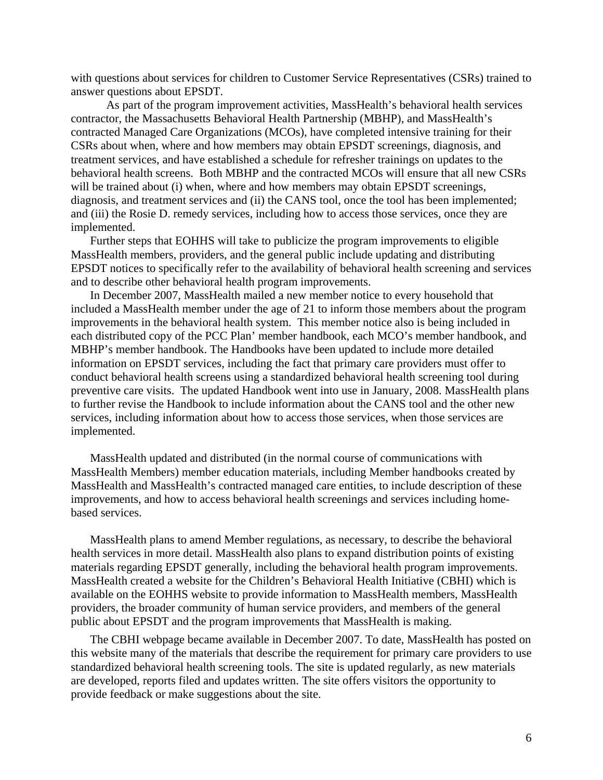with questions about services for children to Customer Service Representatives (CSRs) trained to answer questions about EPSDT.

 As part of the program improvement activities, MassHealth's behavioral health services contractor, the Massachusetts Behavioral Health Partnership (MBHP), and MassHealth's contracted Managed Care Organizations (MCOs), have completed intensive training for their CSRs about when, where and how members may obtain EPSDT screenings, diagnosis, and treatment services, and have established a schedule for refresher trainings on updates to the behavioral health screens. Both MBHP and the contracted MCOs will ensure that all new CSRs will be trained about (i) when, where and how members may obtain EPSDT screenings, diagnosis, and treatment services and (ii) the CANS tool, once the tool has been implemented; and (iii) the Rosie D. remedy services, including how to access those services, once they are implemented.

Further steps that EOHHS will take to publicize the program improvements to eligible MassHealth members, providers, and the general public include updating and distributing EPSDT notices to specifically refer to the availability of behavioral health screening and services and to describe other behavioral health program improvements.

In December 2007, MassHealth mailed a new member notice to every household that included a MassHealth member under the age of 21 to inform those members about the program improvements in the behavioral health system. This member notice also is being included in each distributed copy of the PCC Plan' member handbook, each MCO's member handbook, and MBHP's member handbook. The Handbooks have been updated to include more detailed information on EPSDT services, including the fact that primary care providers must offer to conduct behavioral health screens using a standardized behavioral health screening tool during preventive care visits. The updated Handbook went into use in January, 2008. MassHealth plans to further revise the Handbook to include information about the CANS tool and the other new services, including information about how to access those services, when those services are implemented.

MassHealth updated and distributed (in the normal course of communications with MassHealth Members) member education materials, including Member handbooks created by MassHealth and MassHealth's contracted managed care entities, to include description of these improvements, and how to access behavioral health screenings and services including homebased services.

MassHealth plans to amend Member regulations, as necessary, to describe the behavioral health services in more detail. MassHealth also plans to expand distribution points of existing materials regarding EPSDT generally, including the behavioral health program improvements. MassHealth created a website for the Children's Behavioral Health Initiative (CBHI) which is available on the EOHHS website to provide information to MassHealth members, MassHealth providers, the broader community of human service providers, and members of the general public about EPSDT and the program improvements that MassHealth is making.

The CBHI webpage became available in December 2007. To date, MassHealth has posted on this website many of the materials that describe the requirement for primary care providers to use standardized behavioral health screening tools. The site is updated regularly, as new materials are developed, reports filed and updates written. The site offers visitors the opportunity to provide feedback or make suggestions about the site.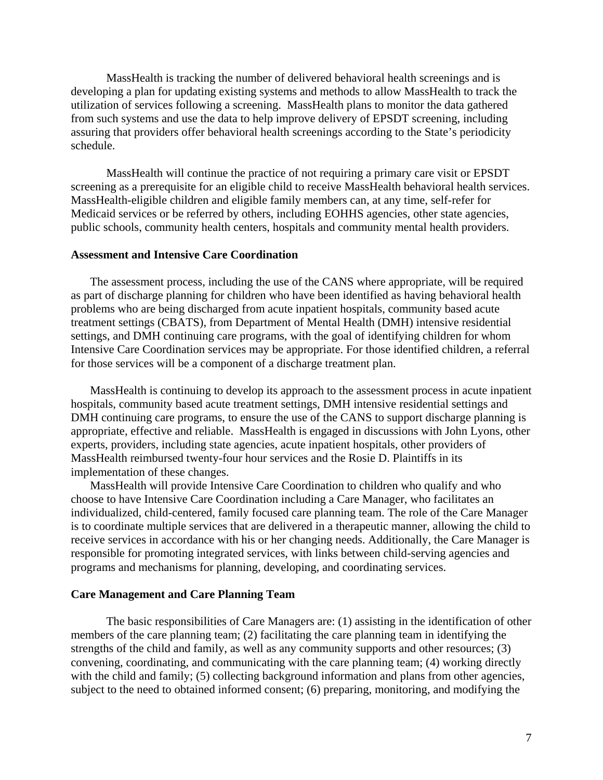MassHealth is tracking the number of delivered behavioral health screenings and is developing a plan for updating existing systems and methods to allow MassHealth to track the utilization of services following a screening. MassHealth plans to monitor the data gathered from such systems and use the data to help improve delivery of EPSDT screening, including assuring that providers offer behavioral health screenings according to the State's periodicity schedule.

MassHealth will continue the practice of not requiring a primary care visit or EPSDT screening as a prerequisite for an eligible child to receive MassHealth behavioral health services. MassHealth-eligible children and eligible family members can, at any time, self-refer for Medicaid services or be referred by others, including EOHHS agencies, other state agencies, public schools, community health centers, hospitals and community mental health providers.

### **Assessment and Intensive Care Coordination**

The assessment process, including the use of the CANS where appropriate, will be required as part of discharge planning for children who have been identified as having behavioral health problems who are being discharged from acute inpatient hospitals, community based acute treatment settings (CBATS), from Department of Mental Health (DMH) intensive residential settings, and DMH continuing care programs, with the goal of identifying children for whom Intensive Care Coordination services may be appropriate. For those identified children, a referral for those services will be a component of a discharge treatment plan.

MassHealth is continuing to develop its approach to the assessment process in acute inpatient hospitals, community based acute treatment settings, DMH intensive residential settings and DMH continuing care programs, to ensure the use of the CANS to support discharge planning is appropriate, effective and reliable. MassHealth is engaged in discussions with John Lyons, other experts, providers, including state agencies, acute inpatient hospitals, other providers of MassHealth reimbursed twenty-four hour services and the Rosie D. Plaintiffs in its implementation of these changes.

MassHealth will provide Intensive Care Coordination to children who qualify and who choose to have Intensive Care Coordination including a Care Manager, who facilitates an individualized, child-centered, family focused care planning team. The role of the Care Manager is to coordinate multiple services that are delivered in a therapeutic manner, allowing the child to receive services in accordance with his or her changing needs. Additionally, the Care Manager is responsible for promoting integrated services, with links between child-serving agencies and programs and mechanisms for planning, developing, and coordinating services.

#### **Care Management and Care Planning Team**

The basic responsibilities of Care Managers are: (1) assisting in the identification of other members of the care planning team; (2) facilitating the care planning team in identifying the strengths of the child and family, as well as any community supports and other resources; (3) convening, coordinating, and communicating with the care planning team; (4) working directly with the child and family; (5) collecting background information and plans from other agencies, subject to the need to obtained informed consent; (6) preparing, monitoring, and modifying the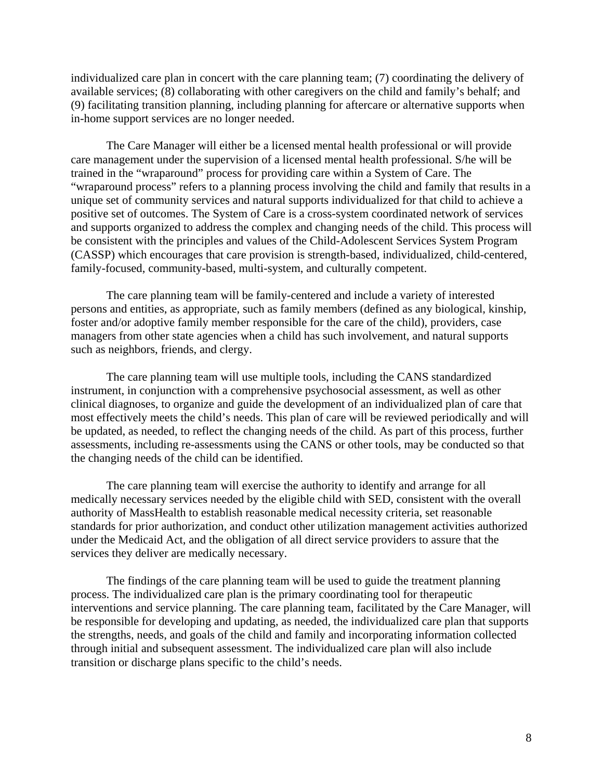individualized care plan in concert with the care planning team; (7) coordinating the delivery of available services; (8) collaborating with other caregivers on the child and family's behalf; and (9) facilitating transition planning, including planning for aftercare or alternative supports when in-home support services are no longer needed.

The Care Manager will either be a licensed mental health professional or will provide care management under the supervision of a licensed mental health professional. S/he will be trained in the "wraparound" process for providing care within a System of Care. The "wraparound process" refers to a planning process involving the child and family that results in a unique set of community services and natural supports individualized for that child to achieve a positive set of outcomes. The System of Care is a cross-system coordinated network of services and supports organized to address the complex and changing needs of the child. This process will be consistent with the principles and values of the Child-Adolescent Services System Program (CASSP) which encourages that care provision is strength-based, individualized, child-centered, family-focused, community-based, multi-system, and culturally competent.

The care planning team will be family-centered and include a variety of interested persons and entities, as appropriate, such as family members (defined as any biological, kinship, foster and/or adoptive family member responsible for the care of the child), providers, case managers from other state agencies when a child has such involvement, and natural supports such as neighbors, friends, and clergy.

The care planning team will use multiple tools, including the CANS standardized instrument, in conjunction with a comprehensive psychosocial assessment, as well as other clinical diagnoses, to organize and guide the development of an individualized plan of care that most effectively meets the child's needs. This plan of care will be reviewed periodically and will be updated, as needed, to reflect the changing needs of the child. As part of this process, further assessments, including re-assessments using the CANS or other tools, may be conducted so that the changing needs of the child can be identified.

The care planning team will exercise the authority to identify and arrange for all medically necessary services needed by the eligible child with SED, consistent with the overall authority of MassHealth to establish reasonable medical necessity criteria, set reasonable standards for prior authorization, and conduct other utilization management activities authorized under the Medicaid Act, and the obligation of all direct service providers to assure that the services they deliver are medically necessary.

The findings of the care planning team will be used to guide the treatment planning process. The individualized care plan is the primary coordinating tool for therapeutic interventions and service planning. The care planning team, facilitated by the Care Manager, will be responsible for developing and updating, as needed, the individualized care plan that supports the strengths, needs, and goals of the child and family and incorporating information collected through initial and subsequent assessment. The individualized care plan will also include transition or discharge plans specific to the child's needs.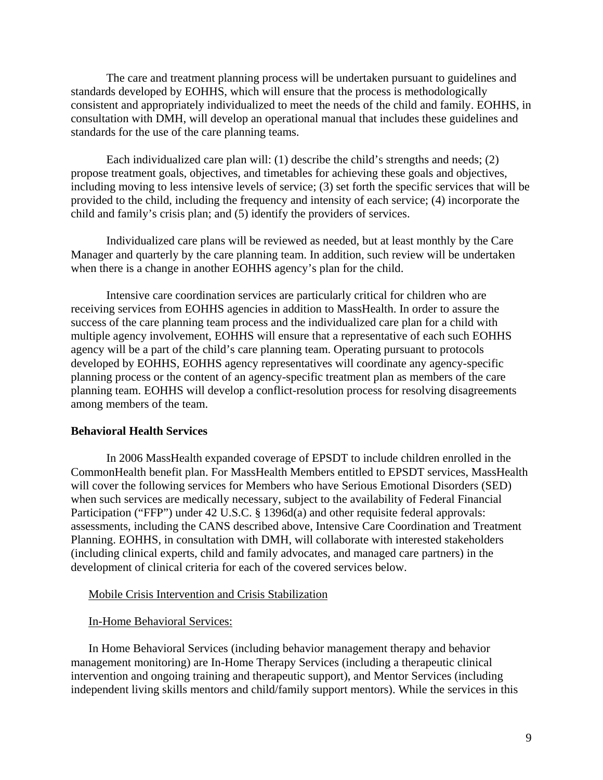The care and treatment planning process will be undertaken pursuant to guidelines and standards developed by EOHHS, which will ensure that the process is methodologically consistent and appropriately individualized to meet the needs of the child and family. EOHHS, in consultation with DMH, will develop an operational manual that includes these guidelines and standards for the use of the care planning teams.

Each individualized care plan will: (1) describe the child's strengths and needs; (2) propose treatment goals, objectives, and timetables for achieving these goals and objectives, including moving to less intensive levels of service; (3) set forth the specific services that will be provided to the child, including the frequency and intensity of each service; (4) incorporate the child and family's crisis plan; and (5) identify the providers of services.

Individualized care plans will be reviewed as needed, but at least monthly by the Care Manager and quarterly by the care planning team. In addition, such review will be undertaken when there is a change in another EOHHS agency's plan for the child.

Intensive care coordination services are particularly critical for children who are receiving services from EOHHS agencies in addition to MassHealth. In order to assure the success of the care planning team process and the individualized care plan for a child with multiple agency involvement, EOHHS will ensure that a representative of each such EOHHS agency will be a part of the child's care planning team. Operating pursuant to protocols developed by EOHHS, EOHHS agency representatives will coordinate any agency-specific planning process or the content of an agency-specific treatment plan as members of the care planning team. EOHHS will develop a conflict-resolution process for resolving disagreements among members of the team.

### **Behavioral Health Services**

In 2006 MassHealth expanded coverage of EPSDT to include children enrolled in the CommonHealth benefit plan. For MassHealth Members entitled to EPSDT services, MassHealth will cover the following services for Members who have Serious Emotional Disorders (SED) when such services are medically necessary, subject to the availability of Federal Financial Participation ("FFP") under 42 U.S.C. § 1396d(a) and other requisite federal approvals: assessments, including the CANS described above, Intensive Care Coordination and Treatment Planning. EOHHS, in consultation with DMH, will collaborate with interested stakeholders (including clinical experts, child and family advocates, and managed care partners) in the development of clinical criteria for each of the covered services below.

#### Mobile Crisis Intervention and Crisis Stabilization

#### In-Home Behavioral Services:

In Home Behavioral Services (including behavior management therapy and behavior management monitoring) are In-Home Therapy Services (including a therapeutic clinical intervention and ongoing training and therapeutic support), and Mentor Services (including independent living skills mentors and child/family support mentors). While the services in this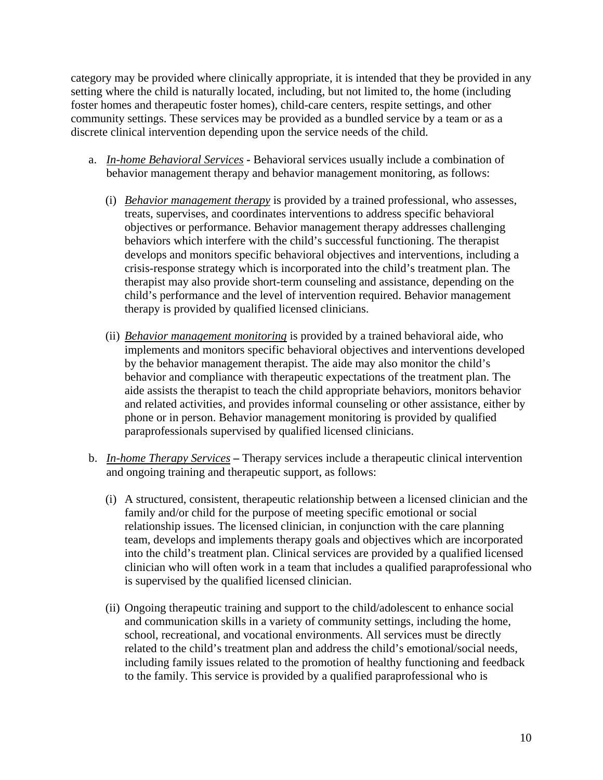category may be provided where clinically appropriate, it is intended that they be provided in any setting where the child is naturally located, including, but not limited to, the home (including foster homes and therapeutic foster homes), child-care centers, respite settings, and other community settings. These services may be provided as a bundled service by a team or as a discrete clinical intervention depending upon the service needs of the child.

- a. *In-home Behavioral Services* Behavioral services usually include a combination of behavior management therapy and behavior management monitoring, as follows:
	- (i) *Behavior management therapy* is provided by a trained professional, who assesses, treats, supervises, and coordinates interventions to address specific behavioral objectives or performance. Behavior management therapy addresses challenging behaviors which interfere with the child's successful functioning. The therapist develops and monitors specific behavioral objectives and interventions, including a crisis-response strategy which is incorporated into the child's treatment plan. The therapist may also provide short-term counseling and assistance, depending on the child's performance and the level of intervention required. Behavior management therapy is provided by qualified licensed clinicians.
	- (ii) *Behavior management monitoring* is provided by a trained behavioral aide, who implements and monitors specific behavioral objectives and interventions developed by the behavior management therapist. The aide may also monitor the child's behavior and compliance with therapeutic expectations of the treatment plan. The aide assists the therapist to teach the child appropriate behaviors, monitors behavior and related activities, and provides informal counseling or other assistance, either by phone or in person. Behavior management monitoring is provided by qualified paraprofessionals supervised by qualified licensed clinicians.
- b. *In-home Therapy Services* Therapy services include a therapeutic clinical intervention and ongoing training and therapeutic support, as follows:
	- (i) A structured, consistent, therapeutic relationship between a licensed clinician and the family and/or child for the purpose of meeting specific emotional or social relationship issues. The licensed clinician, in conjunction with the care planning team, develops and implements therapy goals and objectives which are incorporated into the child's treatment plan. Clinical services are provided by a qualified licensed clinician who will often work in a team that includes a qualified paraprofessional who is supervised by the qualified licensed clinician.
	- (ii) Ongoing therapeutic training and support to the child/adolescent to enhance social and communication skills in a variety of community settings, including the home, school, recreational, and vocational environments. All services must be directly related to the child's treatment plan and address the child's emotional/social needs, including family issues related to the promotion of healthy functioning and feedback to the family. This service is provided by a qualified paraprofessional who is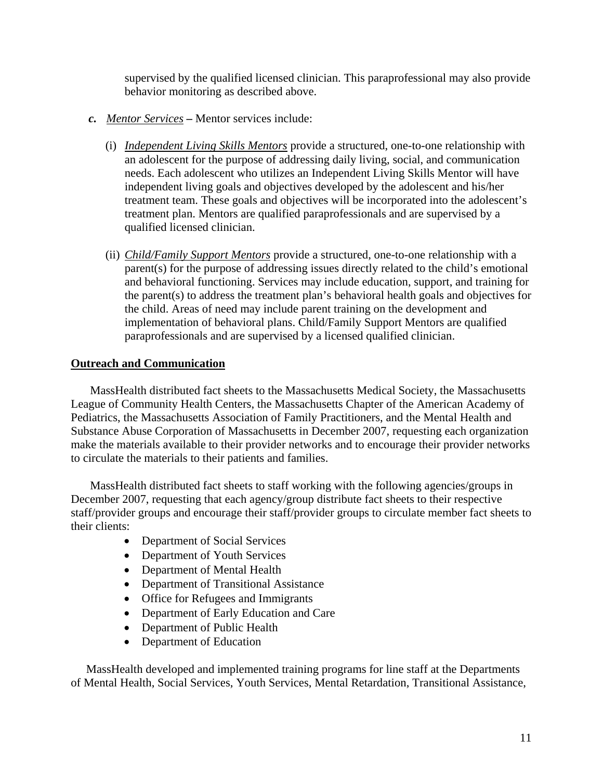supervised by the qualified licensed clinician. This paraprofessional may also provide behavior monitoring as described above.

- *c. Mentor Services* Mentor services include:
	- (i) *Independent Living Skills Mentors* provide a structured, one-to-one relationship with an adolescent for the purpose of addressing daily living, social, and communication needs. Each adolescent who utilizes an Independent Living Skills Mentor will have independent living goals and objectives developed by the adolescent and his/her treatment team. These goals and objectives will be incorporated into the adolescent's treatment plan. Mentors are qualified paraprofessionals and are supervised by a qualified licensed clinician.
	- (ii) *Child/Family Support Mentors* provide a structured, one-to-one relationship with a parent(s) for the purpose of addressing issues directly related to the child's emotional and behavioral functioning. Services may include education, support, and training for the parent(s) to address the treatment plan's behavioral health goals and objectives for the child. Areas of need may include parent training on the development and implementation of behavioral plans. Child/Family Support Mentors are qualified paraprofessionals and are supervised by a licensed qualified clinician.

## **Outreach and Communication**

MassHealth distributed fact sheets to the Massachusetts Medical Society, the Massachusetts League of Community Health Centers, the Massachusetts Chapter of the American Academy of Pediatrics, the Massachusetts Association of Family Practitioners, and the Mental Health and Substance Abuse Corporation of Massachusetts in December 2007, requesting each organization make the materials available to their provider networks and to encourage their provider networks to circulate the materials to their patients and families.

MassHealth distributed fact sheets to staff working with the following agencies/groups in December 2007, requesting that each agency/group distribute fact sheets to their respective staff/provider groups and encourage their staff/provider groups to circulate member fact sheets to their clients:

- Department of Social Services
- Department of Youth Services
- Department of Mental Health
- Department of Transitional Assistance
- Office for Refugees and Immigrants
- Department of Early Education and Care
- Department of Public Health
- Department of Education

MassHealth developed and implemented training programs for line staff at the Departments of Mental Health, Social Services, Youth Services, Mental Retardation, Transitional Assistance,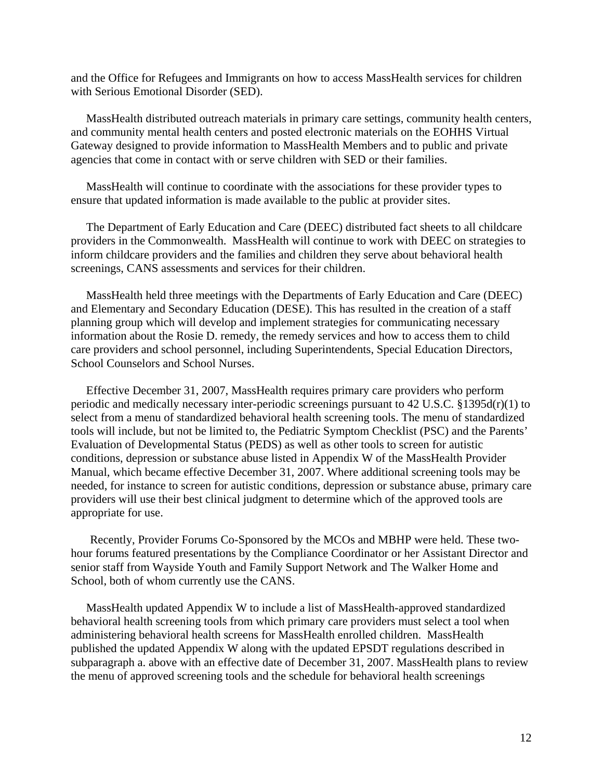and the Office for Refugees and Immigrants on how to access MassHealth services for children with Serious Emotional Disorder (SED).

MassHealth distributed outreach materials in primary care settings, community health centers, and community mental health centers and posted electronic materials on the EOHHS Virtual Gateway designed to provide information to MassHealth Members and to public and private agencies that come in contact with or serve children with SED or their families.

MassHealth will continue to coordinate with the associations for these provider types to ensure that updated information is made available to the public at provider sites.

The Department of Early Education and Care (DEEC) distributed fact sheets to all childcare providers in the Commonwealth. MassHealth will continue to work with DEEC on strategies to inform childcare providers and the families and children they serve about behavioral health screenings, CANS assessments and services for their children.

MassHealth held three meetings with the Departments of Early Education and Care (DEEC) and Elementary and Secondary Education (DESE). This has resulted in the creation of a staff planning group which will develop and implement strategies for communicating necessary information about the Rosie D. remedy, the remedy services and how to access them to child care providers and school personnel, including Superintendents, Special Education Directors, School Counselors and School Nurses.

Effective December 31, 2007, MassHealth requires primary care providers who perform periodic and medically necessary inter-periodic screenings pursuant to 42 U.S.C. §1395d(r)(1) to select from a menu of standardized behavioral health screening tools. The menu of standardized tools will include, but not be limited to, the Pediatric Symptom Checklist (PSC) and the Parents' Evaluation of Developmental Status (PEDS) as well as other tools to screen for autistic conditions, depression or substance abuse listed in Appendix W of the MassHealth Provider Manual, which became effective December 31, 2007. Where additional screening tools may be needed, for instance to screen for autistic conditions, depression or substance abuse, primary care providers will use their best clinical judgment to determine which of the approved tools are appropriate for use.

 Recently, Provider Forums Co-Sponsored by the MCOs and MBHP were held. These twohour forums featured presentations by the Compliance Coordinator or her Assistant Director and senior staff from Wayside Youth and Family Support Network and The Walker Home and School, both of whom currently use the CANS.

MassHealth updated Appendix W to include a list of MassHealth-approved standardized behavioral health screening tools from which primary care providers must select a tool when administering behavioral health screens for MassHealth enrolled children. MassHealth published the updated Appendix W along with the updated EPSDT regulations described in subparagraph a. above with an effective date of December 31, 2007. MassHealth plans to review the menu of approved screening tools and the schedule for behavioral health screenings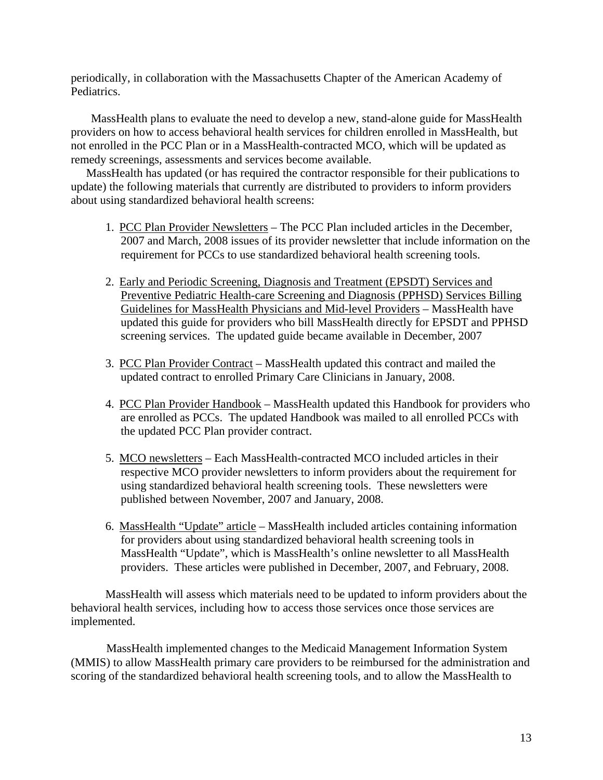periodically, in collaboration with the Massachusetts Chapter of the American Academy of Pediatrics.

MassHealth plans to evaluate the need to develop a new, stand-alone guide for MassHealth providers on how to access behavioral health services for children enrolled in MassHealth, but not enrolled in the PCC Plan or in a MassHealth-contracted MCO, which will be updated as remedy screenings, assessments and services become available.

MassHealth has updated (or has required the contractor responsible for their publications to update) the following materials that currently are distributed to providers to inform providers about using standardized behavioral health screens:

- 1. PCC Plan Provider Newsletters The PCC Plan included articles in the December, 2007 and March, 2008 issues of its provider newsletter that include information on the requirement for PCCs to use standardized behavioral health screening tools.
- 2. Early and Periodic Screening, Diagnosis and Treatment (EPSDT) Services and Preventive Pediatric Health-care Screening and Diagnosis (PPHSD) Services Billing Guidelines for MassHealth Physicians and Mid-level Providers – MassHealth have updated this guide for providers who bill MassHealth directly for EPSDT and PPHSD screening services. The updated guide became available in December, 2007
- 3. PCC Plan Provider Contract MassHealth updated this contract and mailed the updated contract to enrolled Primary Care Clinicians in January, 2008.
- 4. PCC Plan Provider Handbook MassHealth updated this Handbook for providers who are enrolled as PCCs. The updated Handbook was mailed to all enrolled PCCs with the updated PCC Plan provider contract.
- 5. MCO newsletters Each MassHealth-contracted MCO included articles in their respective MCO provider newsletters to inform providers about the requirement for using standardized behavioral health screening tools. These newsletters were published between November, 2007 and January, 2008.
- 6. MassHealth "Update" article MassHealth included articles containing information for providers about using standardized behavioral health screening tools in MassHealth "Update", which is MassHealth's online newsletter to all MassHealth providers. These articles were published in December, 2007, and February, 2008.

MassHealth will assess which materials need to be updated to inform providers about the behavioral health services, including how to access those services once those services are implemented.

MassHealth implemented changes to the Medicaid Management Information System (MMIS) to allow MassHealth primary care providers to be reimbursed for the administration and scoring of the standardized behavioral health screening tools, and to allow the MassHealth to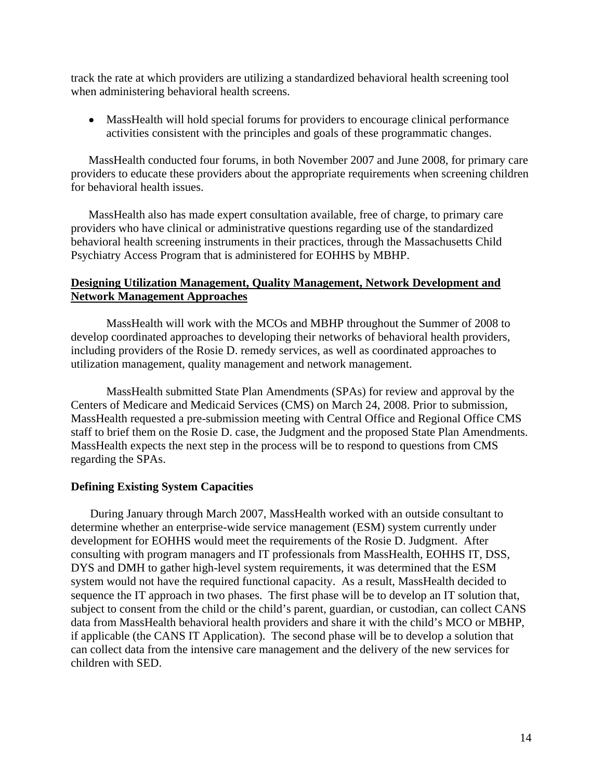track the rate at which providers are utilizing a standardized behavioral health screening tool when administering behavioral health screens.

• MassHealth will hold special forums for providers to encourage clinical performance activities consistent with the principles and goals of these programmatic changes.

MassHealth conducted four forums, in both November 2007 and June 2008, for primary care providers to educate these providers about the appropriate requirements when screening children for behavioral health issues.

MassHealth also has made expert consultation available, free of charge, to primary care providers who have clinical or administrative questions regarding use of the standardized behavioral health screening instruments in their practices, through the Massachusetts Child Psychiatry Access Program that is administered for EOHHS by MBHP.

# **Designing Utilization Management, Quality Management, Network Development and Network Management Approaches**

MassHealth will work with the MCOs and MBHP throughout the Summer of 2008 to develop coordinated approaches to developing their networks of behavioral health providers, including providers of the Rosie D. remedy services, as well as coordinated approaches to utilization management, quality management and network management.

MassHealth submitted State Plan Amendments (SPAs) for review and approval by the Centers of Medicare and Medicaid Services (CMS) on March 24, 2008. Prior to submission, MassHealth requested a pre-submission meeting with Central Office and Regional Office CMS staff to brief them on the Rosie D. case, the Judgment and the proposed State Plan Amendments. MassHealth expects the next step in the process will be to respond to questions from CMS regarding the SPAs.

### **Defining Existing System Capacities**

During January through March 2007, MassHealth worked with an outside consultant to determine whether an enterprise-wide service management (ESM) system currently under development for EOHHS would meet the requirements of the Rosie D. Judgment. After consulting with program managers and IT professionals from MassHealth, EOHHS IT, DSS, DYS and DMH to gather high-level system requirements, it was determined that the ESM system would not have the required functional capacity. As a result, MassHealth decided to sequence the IT approach in two phases. The first phase will be to develop an IT solution that, subject to consent from the child or the child's parent, guardian, or custodian, can collect CANS data from MassHealth behavioral health providers and share it with the child's MCO or MBHP, if applicable (the CANS IT Application). The second phase will be to develop a solution that can collect data from the intensive care management and the delivery of the new services for children with SED.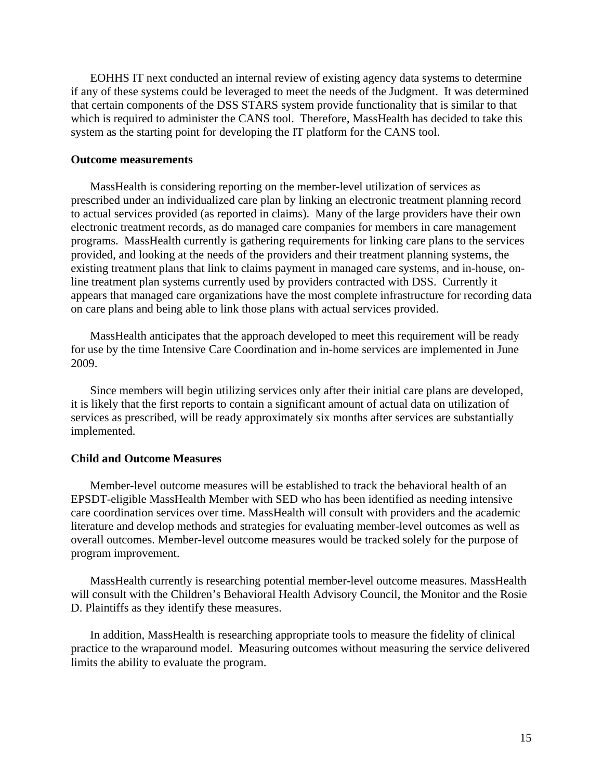EOHHS IT next conducted an internal review of existing agency data systems to determine if any of these systems could be leveraged to meet the needs of the Judgment. It was determined that certain components of the DSS STARS system provide functionality that is similar to that which is required to administer the CANS tool. Therefore, MassHealth has decided to take this system as the starting point for developing the IT platform for the CANS tool.

### **Outcome measurements**

MassHealth is considering reporting on the member-level utilization of services as prescribed under an individualized care plan by linking an electronic treatment planning record to actual services provided (as reported in claims). Many of the large providers have their own electronic treatment records, as do managed care companies for members in care management programs. MassHealth currently is gathering requirements for linking care plans to the services provided, and looking at the needs of the providers and their treatment planning systems, the existing treatment plans that link to claims payment in managed care systems, and in-house, online treatment plan systems currently used by providers contracted with DSS. Currently it appears that managed care organizations have the most complete infrastructure for recording data on care plans and being able to link those plans with actual services provided.

MassHealth anticipates that the approach developed to meet this requirement will be ready for use by the time Intensive Care Coordination and in-home services are implemented in June 2009.

Since members will begin utilizing services only after their initial care plans are developed, it is likely that the first reports to contain a significant amount of actual data on utilization of services as prescribed, will be ready approximately six months after services are substantially implemented.

#### **Child and Outcome Measures**

Member-level outcome measures will be established to track the behavioral health of an EPSDT-eligible MassHealth Member with SED who has been identified as needing intensive care coordination services over time. MassHealth will consult with providers and the academic literature and develop methods and strategies for evaluating member-level outcomes as well as overall outcomes. Member-level outcome measures would be tracked solely for the purpose of program improvement.

MassHealth currently is researching potential member-level outcome measures. MassHealth will consult with the Children's Behavioral Health Advisory Council, the Monitor and the Rosie D. Plaintiffs as they identify these measures.

In addition, MassHealth is researching appropriate tools to measure the fidelity of clinical practice to the wraparound model. Measuring outcomes without measuring the service delivered limits the ability to evaluate the program.